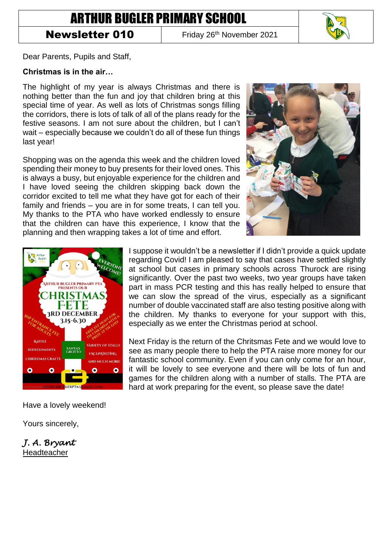# ARTHUR BUGLER PRIMARY SCHOOL

## **Newsletter 010** Friday 26<sup>th</sup> November 2021



Dear Parents, Pupils and Staff,

#### **Christmas is in the air…**

The highlight of my year is always Christmas and there is nothing better than the fun and joy that children bring at this special time of year. As well as lots of Christmas songs filling the corridors, there is lots of talk of all of the plans ready for the festive seasons. I am not sure about the children, but I can't wait – especially because we couldn't do all of these fun things last year!

Shopping was on the agenda this week and the children loved spending their money to buy presents for their loved ones. This is always a busy, but enjoyable experience for the children and I have loved seeing the children skipping back down the corridor excited to tell me what they have got for each of their family and friends – you are in for some treats, I can tell you. My thanks to the PTA who have worked endlessly to ensure that the children can have this experience, I know that the planning and then wrapping takes a lot of time and effort.





Have a lovely weekend!

Yours sincerely,

*J. A. Bryant*  Headteacher

I suppose it wouldn't be a newsletter if I didn't provide a quick update regarding Covid! I am pleased to say that cases have settled slightly at school but cases in primary schools across Thurock are rising significantly. Over the past two weeks, two year groups have taken part in mass PCR testing and this has really helped to ensure that we can slow the spread of the virus, especially as a significant number of double vaccinated staff are also testing positive along with the children. My thanks to everyone for your support with this, especially as we enter the Christmas period at school.

Next Friday is the return of the Chritsmas Fete and we would love to see as many people there to help the PTA raise more money for our fantastic school community. Even if you can only come for an hour, it will be lovely to see everyone and there will be lots of fun and games for the children along with a number of stalls. The PTA are hard at work preparing for the event, so please save the date!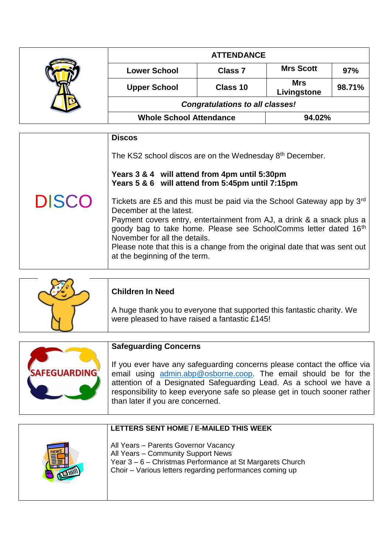|  | <b>ATTENDANCE</b>                      |                |                           |        |
|--|----------------------------------------|----------------|---------------------------|--------|
|  | <b>Lower School</b>                    | <b>Class 7</b> | <b>Mrs Scott</b>          | 97%    |
|  | <b>Upper School</b>                    | Class 10       | <b>Mrs</b><br>Livingstone | 98.71% |
|  | <b>Congratulations to all classes!</b> |                |                           |        |
|  | <b>Whole School Attendance</b>         |                | 94.02%                    |        |

|              | <b>Discos</b>                                                                                                                                                                                                                                                                                                                                                                                              |
|--------------|------------------------------------------------------------------------------------------------------------------------------------------------------------------------------------------------------------------------------------------------------------------------------------------------------------------------------------------------------------------------------------------------------------|
|              | The KS2 school discos are on the Wednesday 8 <sup>th</sup> December.<br>Years 3 & 4 will attend from 4pm until 5:30pm<br>Years 5 & 6 will attend from 5:45pm until 7:15pm                                                                                                                                                                                                                                  |
| <b>DISCO</b> | Tickets are £5 and this must be paid via the School Gateway app by 3 <sup>rd</sup><br>December at the latest.<br>Payment covers entry, entertainment from AJ, a drink & a snack plus a<br>goody bag to take home. Please see SchoolComms letter dated 16th<br>November for all the details.<br>Please note that this is a change from the original date that was sent out<br>at the beginning of the term. |

| <b>Children In Need</b>                                                                                                 |  |
|-------------------------------------------------------------------------------------------------------------------------|--|
| A huge thank you to everyone that supported this fantastic charity. We<br>were pleased to have raised a fantastic £145! |  |

| <b>SAFEGUARDING</b> |
|---------------------|
|                     |
|                     |

### **Safeguarding Concerns**

If you ever have any safeguarding concerns please contact the office via email using [admin.abp@osborne.coop.](mailto:admin.abp@osborne.coop) The email should be for the attention of a Designated Safeguarding Lead. As a school we have a responsibility to keep everyone safe so please get in touch sooner rather than later if you are concerned.

| LETTERS SENT HOME / E-MAILED THIS WEEK                                                                                                                                                              |
|-----------------------------------------------------------------------------------------------------------------------------------------------------------------------------------------------------|
| All Years - Parents Governor Vacancy<br>All Years - Community Support News<br>Year 3 - 6 - Christmas Performance at St Margarets Church<br>Choir - Various letters regarding performances coming up |